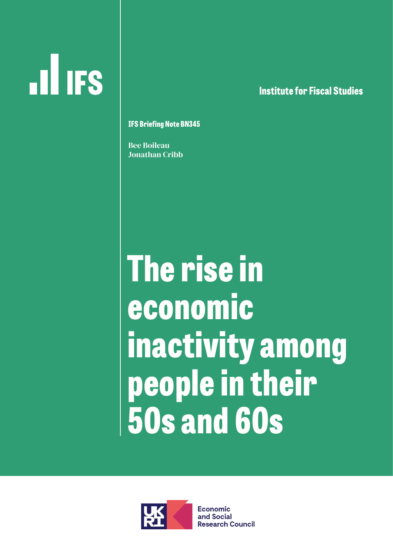# **ILL IFS**

**lnstitute for Fiscal Studies**

#### **IFS Briefing Note BN345**

Bee Boileau Jonathan Cribb

## **The rise in economic inactivity among people in their 50s and 60s**



**Economic** and Social **Research Council**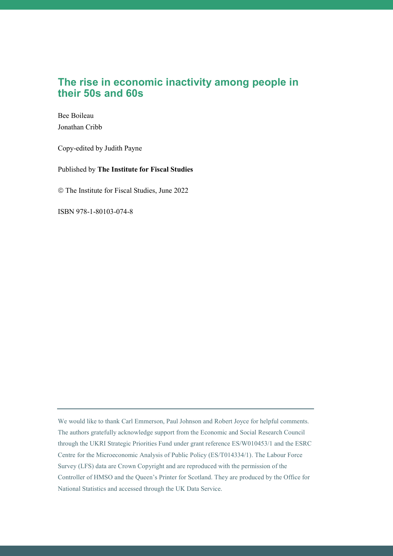#### **The rise in economic inactivity among people in their 50s and 60s**

Bee Boileau Jonathan Cribb

Copy-edited by Judith Payne

Published by **The Institute for Fiscal Studies**

The Institute for Fiscal Studies, June 2022

ISBN 978-1-80103-074-8

We would like to thank Carl Emmerson, Paul Johnson and Robert Joyce for helpful comments. The authors gratefully acknowledge support from the Economic and Social Research Council through the UKRI Strategic Priorities Fund under grant reference ES/W010453/1 and the ESRC Centre for the Microeconomic Analysis of Public Policy (ES/T014334/1). The Labour Force Survey (LFS) data are Crown Copyright and are reproduced with the permission of the Controller of HMSO and the Queen's Printer for Scotland. They are produced by the Office for National Statistics and accessed through the UK Data Service.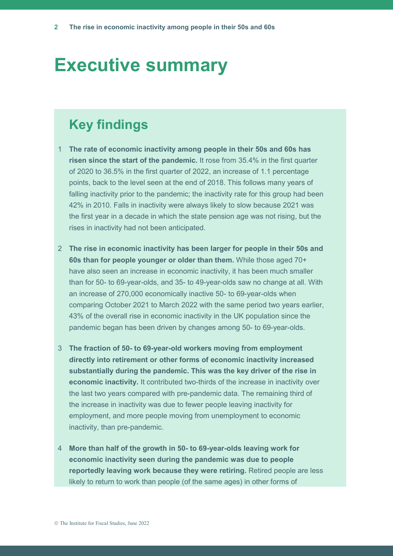### **Executive summary**

#### **Key findings**

- 1 **The rate of economic inactivity among people in their 50s and 60s has risen since the start of the pandemic.** It rose from 35.4% in the first quarter of 2020 to 36.5% in the first quarter of 2022, an increase of 1.1 percentage points, back to the level seen at the end of 2018. This follows many years of falling inactivity prior to the pandemic; the inactivity rate for this group had been 42% in 2010. Falls in inactivity were always likely to slow because 2021 was the first year in a decade in which the state pension age was not rising, but the rises in inactivity had not been anticipated.
- 2 **The rise in economic inactivity has been larger for people in their 50s and 60s than for people younger or older than them.** While those aged 70+ have also seen an increase in economic inactivity, it has been much smaller than for 50- to 69-year-olds, and 35- to 49-year-olds saw no change at all. With an increase of 270,000 economically inactive 50- to 69-year-olds when comparing October 2021 to March 2022 with the same period two years earlier, 43% of the overall rise in economic inactivity in the UK population since the pandemic began has been driven by changes among 50- to 69-year-olds.
- 3 **The fraction of 50- to 69-year-old workers moving from employment directly into retirement or other forms of economic inactivity increased substantially during the pandemic. This was the key driver of the rise in economic inactivity.** It contributed two-thirds of the increase in inactivity over the last two years compared with pre-pandemic data. The remaining third of the increase in inactivity was due to fewer people leaving inactivity for employment, and more people moving from unemployment to economic inactivity, than pre-pandemic.
- 4 **More than half of the growth in 50- to 69-year-olds leaving work for economic inactivity seen during the pandemic was due to people reportedly leaving work because they were retiring.** Retired people are less likely to return to work than people (of the same ages) in other forms of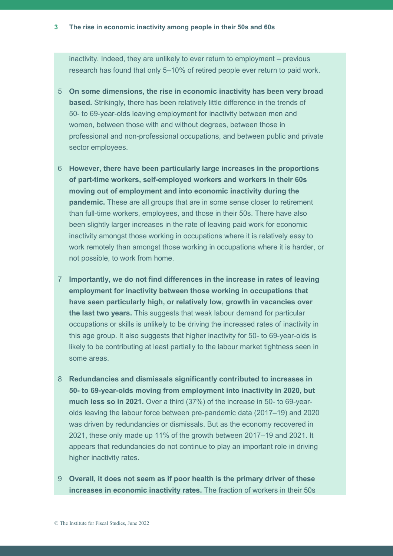inactivity. Indeed, they are unlikely to ever return to employment – previous research has found that only 5–10% of retired people ever return to paid work.

- 5 **On some dimensions, the rise in economic inactivity has been very broad based.** Strikingly, there has been relatively little difference in the trends of 50- to 69-year-olds leaving employment for inactivity between men and women, between those with and without degrees, between those in professional and non-professional occupations, and between public and private sector employees.
- 6 **However, there have been particularly large increases in the proportions of part-time workers, self-employed workers and workers in their 60s moving out of employment and into economic inactivity during the pandemic.** These are all groups that are in some sense closer to retirement than full-time workers, employees, and those in their 50s. There have also been slightly larger increases in the rate of leaving paid work for economic inactivity amongst those working in occupations where it is relatively easy to work remotely than amongst those working in occupations where it is harder, or not possible, to work from home.
- 7 **Importantly, we do not find differences in the increase in rates of leaving employment for inactivity between those working in occupations that have seen particularly high, or relatively low, growth in vacancies over the last two years.** This suggests that weak labour demand for particular occupations or skills is unlikely to be driving the increased rates of inactivity in this age group. It also suggests that higher inactivity for 50- to 69-year-olds is likely to be contributing at least partially to the labour market tightness seen in some areas.
- 8 **Redundancies and dismissals significantly contributed to increases in 50- to 69-year-olds moving from employment into inactivity in 2020, but much less so in 2021.** Over a third (37%) of the increase in 50- to 69-yearolds leaving the labour force between pre-pandemic data (2017–19) and 2020 was driven by redundancies or dismissals. But as the economy recovered in 2021, these only made up 11% of the growth between 2017–19 and 2021. It appears that redundancies do not continue to play an important role in driving higher inactivity rates.
- 9 **Overall, it does not seem as if poor health is the primary driver of these increases in economic inactivity rates.** The fraction of workers in their 50s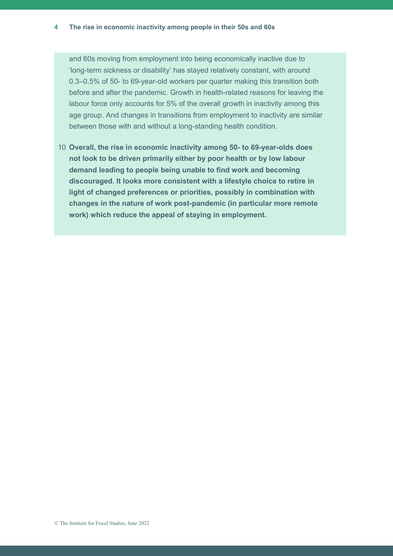and 60s moving from employment into being economically inactive due to 'long-term sickness or disability' has stayed relatively constant, with around 0.3–0.5% of 50- to 69-year-old workers per quarter making this transition both before and after the pandemic. Growth in health-related reasons for leaving the labour force only accounts for 5% of the overall growth in inactivity among this age group. And changes in transitions from employment to inactivity are similar between those with and without a long-standing health condition.

10 **Overall, the rise in economic inactivity among 50- to 69-year-olds does not look to be driven primarily either by poor health or by low labour demand leading to people being unable to find work and becoming discouraged. It looks more consistent with a lifestyle choice to retire in light of changed preferences or priorities, possibly in combination with changes in the nature of work post-pandemic (in particular more remote work) which reduce the appeal of staying in employment.**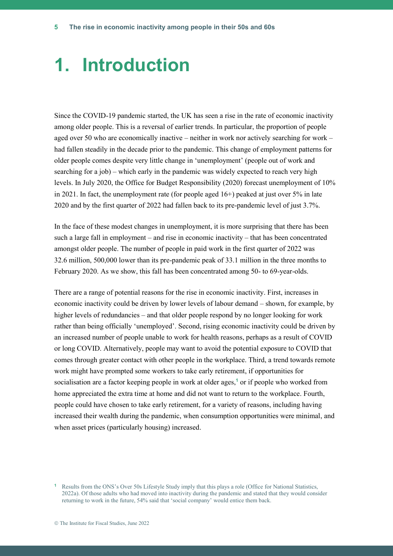### **1. Introduction**

Since the COVID-19 pandemic started, the UK has seen a rise in the rate of economic inactivity among older people. This is a reversal of earlier trends. In particular, the proportion of people aged over 50 who are economically inactive – neither in work nor actively searching for work – had fallen steadily in the decade prior to the pandemic. This change of employment patterns for older people comes despite very little change in 'unemployment' (people out of work and searching for a job) – which early in the pandemic was widely expected to reach very high levels. In July 2020, the Office for Budget Responsibility (2020) forecast unemployment of 10% in 2021. In fact, the unemployment rate (for people aged  $16+)$  peaked at just over  $5\%$  in late 2020 and by the first quarter of 2022 had fallen back to its pre-pandemic level of just 3.7%.

In the face of these modest changes in unemployment, it is more surprising that there has been such a large fall in employment – and rise in economic inactivity – that has been concentrated amongst older people. The number of people in paid work in the first quarter of 2022 was 32.6 million, 500,000 lower than its pre-pandemic peak of 33.1 million in the three months to February 2020. As we show, this fall has been concentrated among 50- to 69-year-olds.

There are a range of potential reasons for the rise in economic inactivity. First, increases in economic inactivity could be driven by lower levels of labour demand – shown, for example, by higher levels of redundancies – and that older people respond by no longer looking for work rather than being officially 'unemployed'. Second, rising economic inactivity could be driven by an increased number of people unable to work for health reasons, perhaps as a result of COVID or long COVID. Alternatively, people may want to avoid the potential exposure to COVID that comes through greater contact with other people in the workplace. Third, a trend towards remote work might have prompted some workers to take early retirement, if opportunities for socialisation are a factor keeping people in work at older ages, **<sup>1</sup>** or if people who worked from home appreciated the extra time at home and did not want to return to the workplace. Fourth, people could have chosen to take early retirement, for a variety of reasons, including having increased their wealth during the pandemic, when consumption opportunities were minimal, and when asset prices (particularly housing) increased.

**<sup>1</sup>** Results from the ONS's Over 50s Lifestyle Study imply that this plays a role (Office for National Statistics, 2022a). Of those adults who had moved into inactivity during the pandemic and stated that they would consider returning to work in the future, 54% said that 'social company' would entice them back.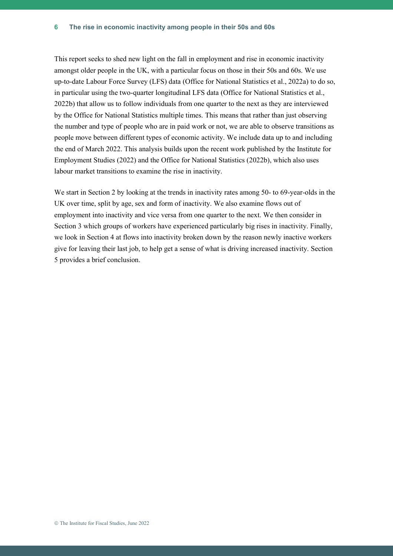This report seeks to shed new light on the fall in employment and rise in economic inactivity amongst older people in the UK, with a particular focus on those in their 50s and 60s. We use up-to-date Labour Force Survey (LFS) data (Office for National Statistics et al., 2022a) to do so, in particular using the two-quarter longitudinal LFS data (Office for National Statistics et al., 2022b) that allow us to follow individuals from one quarter to the next as they are interviewed by the Office for National Statistics multiple times. This means that rather than just observing the number and type of people who are in paid work or not, we are able to observe transitions as people move between different types of economic activity. We include data up to and including the end of March 2022. This analysis builds upon the recent work published by the Institute for Employment Studies (2022) and the Office for National Statistics (2022b), which also uses labour market transitions to examine the rise in inactivity.

We start in Section 2 by looking at the trends in inactivity rates among 50- to 69-year-olds in the UK over time, split by age, sex and form of inactivity. We also examine flows out of employment into inactivity and vice versa from one quarter to the next. We then consider in Section 3 which groups of workers have experienced particularly big rises in inactivity. Finally, we look in Section 4 at flows into inactivity broken down by the reason newly inactive workers give for leaving their last job, to help get a sense of what is driving increased inactivity. Section 5 provides a brief conclusion.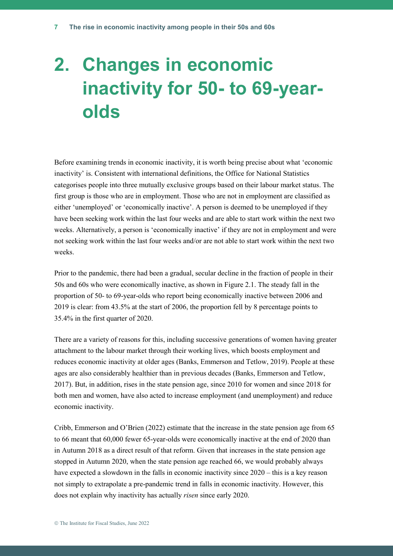## **2. Changes in economic inactivity for 50- to 69-yearolds**

Before examining trends in economic inactivity, it is worth being precise about what 'economic inactivity' is. Consistent with international definitions, the Office for National Statistics categorises people into three mutually exclusive groups based on their labour market status. The first group is those who are in employment. Those who are not in employment are classified as either 'unemployed' or 'economically inactive'. A person is deemed to be unemployed if they have been seeking work within the last four weeks and are able to start work within the next two weeks. Alternatively, a person is 'economically inactive' if they are not in employment and were not seeking work within the last four weeks and/or are not able to start work within the next two weeks.

Prior to the pandemic, there had been a gradual, secular decline in the fraction of people in their 50s and 60s who were economically inactive, as shown in Figure 2.1. The steady fall in the proportion of 50- to 69-year-olds who report being economically inactive between 2006 and 2019 is clear: from 43.5% at the start of 2006, the proportion fell by 8 percentage points to 35.4% in the first quarter of 2020.

There are a variety of reasons for this, including successive generations of women having greater attachment to the labour market through their working lives, which boosts employment and reduces economic inactivity at older ages (Banks, Emmerson and Tetlow, 2019). People at these ages are also considerably healthier than in previous decades (Banks, Emmerson and Tetlow, 2017). But, in addition, rises in the state pension age, since 2010 for women and since 2018 for both men and women, have also acted to increase employment (and unemployment) and reduce economic inactivity.

Cribb, Emmerson and O'Brien (2022) estimate that the increase in the state pension age from 65 to 66 meant that 60,000 fewer 65-year-olds were economically inactive at the end of 2020 than in Autumn 2018 as a direct result of that reform. Given that increases in the state pension age stopped in Autumn 2020, when the state pension age reached 66, we would probably always have expected a slowdown in the falls in economic inactivity since 2020 – this is a key reason not simply to extrapolate a pre-pandemic trend in falls in economic inactivity. However, this does not explain why inactivity has actually *risen* since early 2020.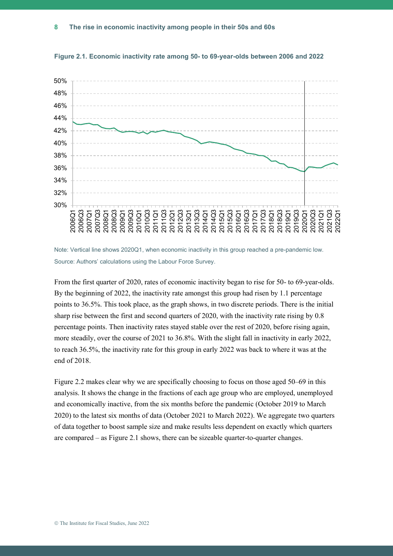

**Figure 2.1. Economic inactivity rate among 50- to 69-year-olds between 2006 and 2022**

Note: Vertical line shows 2020Q1, when economic inactivity in this group reached a pre-pandemic low. Source: Authors' calculations using the Labour Force Survey.

From the first quarter of 2020, rates of economic inactivity began to rise for 50- to 69-year-olds. By the beginning of 2022, the inactivity rate amongst this group had risen by 1.1 percentage points to 36.5%. This took place, as the graph shows, in two discrete periods. There is the initial sharp rise between the first and second quarters of 2020, with the inactivity rate rising by 0.8 percentage points. Then inactivity rates stayed stable over the rest of 2020, before rising again, more steadily, over the course of 2021 to 36.8%. With the slight fall in inactivity in early 2022, to reach 36.5%, the inactivity rate for this group in early 2022 was back to where it was at the end of 2018.

Figure 2.2 makes clear why we are specifically choosing to focus on those aged 50–69 in this analysis. It shows the change in the fractions of each age group who are employed, unemployed and economically inactive, from the six months before the pandemic (October 2019 to March 2020) to the latest six months of data (October 2021 to March 2022). We aggregate two quarters of data together to boost sample size and make results less dependent on exactly which quarters are compared – as Figure 2.1 shows, there can be sizeable quarter-to-quarter changes.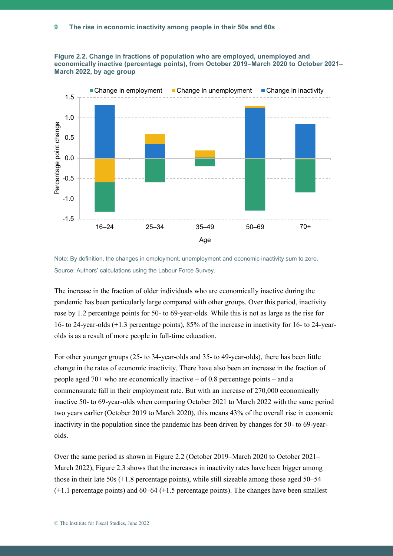



Note: By definition, the changes in employment, unemployment and economic inactivity sum to zero. Source: Authors' calculations using the Labour Force Survey.

The increase in the fraction of older individuals who are economically inactive during the pandemic has been particularly large compared with other groups. Over this period, inactivity rose by 1.2 percentage points for 50- to 69-year-olds. While this is not as large as the rise for 16- to 24-year-olds (+1.3 percentage points), 85% of the increase in inactivity for 16- to 24-yearolds is as a result of more people in full-time education.

For other younger groups (25- to 34-year-olds and 35- to 49-year-olds), there has been little change in the rates of economic inactivity. There have also been an increase in the fraction of people aged  $70+$  who are economically inactive – of 0.8 percentage points – and a commensurate fall in their employment rate. But with an increase of 270,000 economically inactive 50- to 69-year-olds when comparing October 2021 to March 2022 with the same period two years earlier (October 2019 to March 2020), this means 43% of the overall rise in economic inactivity in the population since the pandemic has been driven by changes for 50- to 69-yearolds.

Over the same period as shown in Figure 2.2 (October 2019–March 2020 to October 2021– March 2022), Figure 2.3 shows that the increases in inactivity rates have been bigger among those in their late 50s (+1.8 percentage points), while still sizeable among those aged 50–54 (+1.1 percentage points) and 60–64 (+1.5 percentage points). The changes have been smallest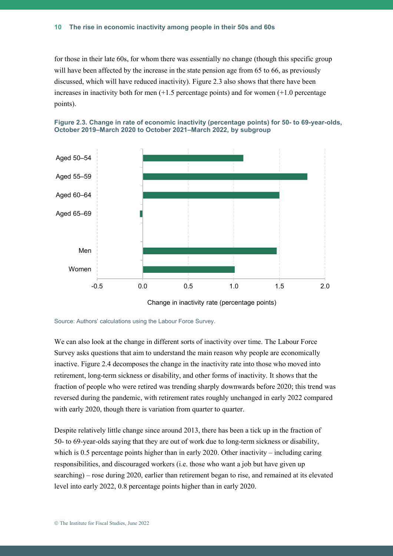for those in their late 60s, for whom there was essentially no change (though this specific group will have been affected by the increase in the state pension age from 65 to 66, as previously discussed, which will have reduced inactivity). Figure 2.3 also shows that there have been increases in inactivity both for men  $(+1.5$  percentage points) and for women  $(+1.0$  percentage points).





We can also look at the change in different sorts of inactivity over time. The Labour Force Survey asks questions that aim to understand the main reason why people are economically inactive. Figure 2.4 decomposes the change in the inactivity rate into those who moved into retirement, long-term sickness or disability, and other forms of inactivity. It shows that the fraction of people who were retired was trending sharply downwards before 2020; this trend was reversed during the pandemic, with retirement rates roughly unchanged in early 2022 compared with early 2020, though there is variation from quarter to quarter.

Despite relatively little change since around 2013, there has been a tick up in the fraction of 50- to 69-year-olds saying that they are out of work due to long-term sickness or disability, which is 0.5 percentage points higher than in early 2020. Other inactivity – including caring responsibilities, and discouraged workers (i.e. those who want a job but have given up searching) – rose during 2020, earlier than retirement began to rise, and remained at its elevated level into early 2022, 0.8 percentage points higher than in early 2020.

Change in inactivity rate (percentage points)

Source: Authors' calculations using the Labour Force Survey.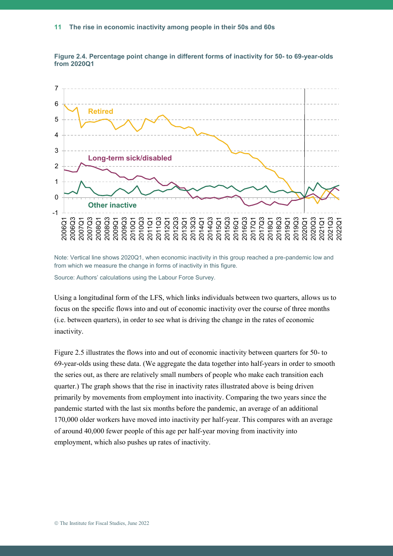

**Figure 2.4. Percentage point change in different forms of inactivity for 50- to 69-year-olds from 2020Q1**

Note: Vertical line shows 2020Q1, when economic inactivity in this group reached a pre-pandemic low and from which we measure the change in forms of inactivity in this figure.

Source: Authors' calculations using the Labour Force Survey.

Using a longitudinal form of the LFS, which links individuals between two quarters, allows us to focus on the specific flows into and out of economic inactivity over the course of three months (i.e. between quarters), in order to see what is driving the change in the rates of economic inactivity.

Figure 2.5 illustrates the flows into and out of economic inactivity between quarters for 50- to 69-year-olds using these data. (We aggregate the data together into half-years in order to smooth the series out, as there are relatively small numbers of people who make each transition each quarter.) The graph shows that the rise in inactivity rates illustrated above is being driven primarily by movements from employment into inactivity. Comparing the two years since the pandemic started with the last six months before the pandemic, an average of an additional 170,000 older workers have moved into inactivity per half-year. This compares with an average of around 40,000 fewer people of this age per half-year moving from inactivity into employment, which also pushes up rates of inactivity.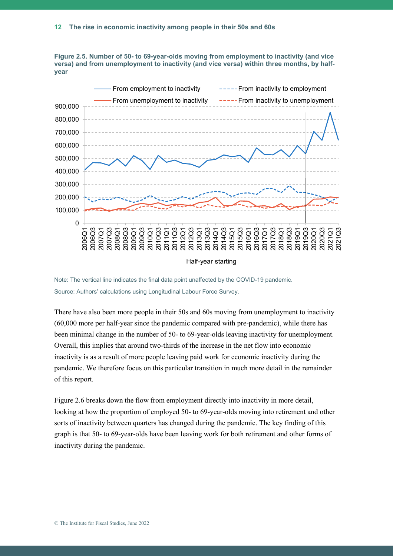

**Figure 2.5. Number of 50- to 69-year-olds moving from employment to inactivity (and vice versa) and from unemployment to inactivity (and vice versa) within three months, by halfyear**

Note: The vertical line indicates the final data point unaffected by the COVID-19 pandemic. Source: Authors' calculations using Longitudinal Labour Force Survey.

There have also been more people in their 50s and 60s moving from unemployment to inactivity (60,000 more per half-year since the pandemic compared with pre-pandemic), while there has been minimal change in the number of 50- to 69-year-olds leaving inactivity for unemployment. Overall, this implies that around two-thirds of the increase in the net flow into economic inactivity is as a result of more people leaving paid work for economic inactivity during the pandemic. We therefore focus on this particular transition in much more detail in the remainder of this report.

Figure 2.6 breaks down the flow from employment directly into inactivity in more detail, looking at how the proportion of employed 50- to 69-year-olds moving into retirement and other sorts of inactivity between quarters has changed during the pandemic. The key finding of this graph is that 50- to 69-year-olds have been leaving work for both retirement and other forms of inactivity during the pandemic.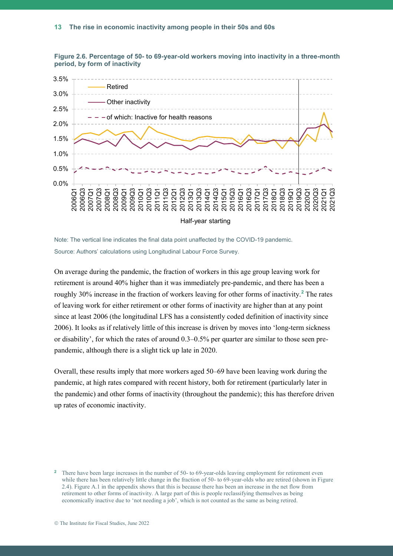





On average during the pandemic, the fraction of workers in this age group leaving work for retirement is around 40% higher than it was immediately pre-pandemic, and there has been a roughly 30% increase in the fraction of workers leaving for other forms of inactivity.**<sup>2</sup>** The rates of leaving work for either retirement or other forms of inactivity are higher than at any point since at least 2006 (the longitudinal LFS has a consistently coded definition of inactivity since 2006). It looks as if relatively little of this increase is driven by moves into 'long-term sickness or disability', for which the rates of around 0.3–0.5% per quarter are similar to those seen prepandemic, although there is a slight tick up late in 2020.

Overall, these results imply that more workers aged 50–69 have been leaving work during the pandemic, at high rates compared with recent history, both for retirement (particularly later in the pandemic) and other forms of inactivity (throughout the pandemic); this has therefore driven up rates of economic inactivity.

<sup>&</sup>lt;sup>2</sup> There have been large increases in the number of 50- to 69-year-olds leaving employment for retirement even while there has been relatively little change in the fraction of 50- to 69-year-olds who are retired (shown in Figure 2.4). Figure A.1 in the appendix shows that this is because there has been an increase in the net flow from retirement to other forms of inactivity. A large part of this is people reclassifying themselves as being economically inactive due to 'not needing a job', which is not counted as the same as being retired.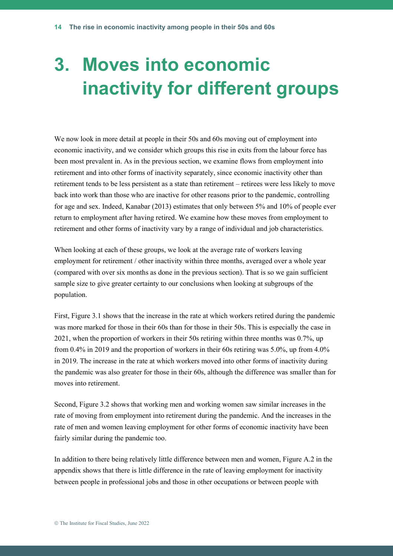## **3. Moves into economic inactivity for different groups**

We now look in more detail at people in their 50s and 60s moving out of employment into economic inactivity, and we consider which groups this rise in exits from the labour force has been most prevalent in. As in the previous section, we examine flows from employment into retirement and into other forms of inactivity separately, since economic inactivity other than retirement tends to be less persistent as a state than retirement – retirees were less likely to move back into work than those who are inactive for other reasons prior to the pandemic, controlling for age and sex. Indeed, Kanabar (2013) estimates that only between 5% and 10% of people ever return to employment after having retired. We examine how these moves from employment to retirement and other forms of inactivity vary by a range of individual and job characteristics.

When looking at each of these groups, we look at the average rate of workers leaving employment for retirement / other inactivity within three months, averaged over a whole year (compared with over six months as done in the previous section). That is so we gain sufficient sample size to give greater certainty to our conclusions when looking at subgroups of the population.

First, Figure 3.1 shows that the increase in the rate at which workers retired during the pandemic was more marked for those in their 60s than for those in their 50s. This is especially the case in 2021, when the proportion of workers in their 50s retiring within three months was 0.7%, up from 0.4% in 2019 and the proportion of workers in their 60s retiring was 5.0%, up from 4.0% in 2019. The increase in the rate at which workers moved into other forms of inactivity during the pandemic was also greater for those in their 60s, although the difference was smaller than for moves into retirement.

Second, Figure 3.2 shows that working men and working women saw similar increases in the rate of moving from employment into retirement during the pandemic. And the increases in the rate of men and women leaving employment for other forms of economic inactivity have been fairly similar during the pandemic too.

In addition to there being relatively little difference between men and women, Figure A.2 in the appendix shows that there is little difference in the rate of leaving employment for inactivity between people in professional jobs and those in other occupations or between people with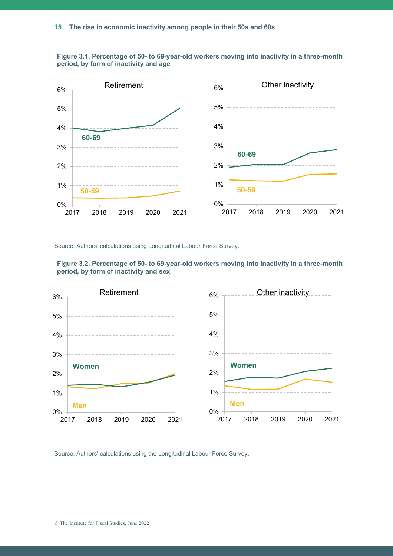



Source: Authors' calculations using Longitudinal Labour Force Survey.



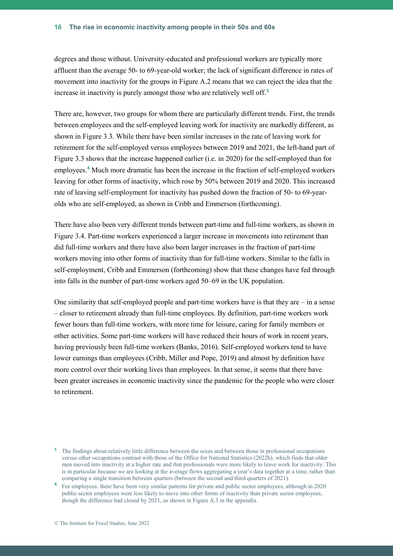degrees and those without. University-educated and professional workers are typically more affluent than the average 50- to 69-year-old worker; the lack of significant difference in rates of movement into inactivity for the groups in Figure A.2 means that we can reject the idea that the increase in inactivity is purely amongst those who are relatively well off.**<sup>3</sup>**

There are, however, two groups for whom there are particularly different trends. First, the trends between employees and the self-employed leaving work for inactivity are markedly different, as shown in Figure 3.3. While there have been similar increases in the rate of leaving work for retirement for the self-employed versus employees between 2019 and 2021, the left-hand part of Figure 3.3 shows that the increase happened earlier (i.e. in 2020) for the self-employed than for employees. **<sup>4</sup>** Much more dramatic has been the increase in the fraction of self-employed workers leaving for other forms of inactivity, which rose by 50% between 2019 and 2020. This increased rate of leaving self-employment for inactivity has pushed down the fraction of 50- to 69-yearolds who are self-employed, as shown in Cribb and Emmerson (forthcoming).

There have also been very different trends between part-time and full-time workers, as shown in Figure 3.4. Part-time workers experienced a larger increase in movements into retirement than did full-time workers and there have also been larger increases in the fraction of part-time workers moving into other forms of inactivity than for full-time workers. Similar to the falls in self-employment, Cribb and Emmerson (forthcoming) show that these changes have fed through into falls in the number of part-time workers aged 50–69 in the UK population.

One similarity that self-employed people and part-time workers have is that they are  $-$  in a sense – closer to retirement already than full-time employees. By definition, part-time workers work fewer hours than full-time workers, with more time for leisure, caring for family members or other activities. Some part-time workers will have reduced their hours of work in recent years, having previously been full-time workers (Banks, 2016). Self-employed workers tend to have lower earnings than employees (Cribb, Miller and Pope, 2019) and almost by definition have more control over their working lives than employees. In that sense, it seems that there have been greater increases in economic inactivity since the pandemic for the people who were closer to retirement.

<sup>&</sup>lt;sup>3</sup> The findings about relatively little difference between the sexes and between those in professional occupations versus other occupations contrast with those of the Office for National Statistics (2022b), which finds that older men moved into inactivity at a higher rate and that professionals were more likely to leave work for inactivity. This is in particular because we are looking at the average flows aggregating a year's data together at a time, rather than comparing a single transition between quarters (between the second and third quarters of 2021).

<sup>&</sup>lt;sup>4</sup> For employees, there have been very similar patterns for private and public sector employees, although in 2020 public sector employees were less likely to move into other forms of inactivity than private sector employees, though the difference had closed by 2021, as shown in Figure A.3 in the appendix.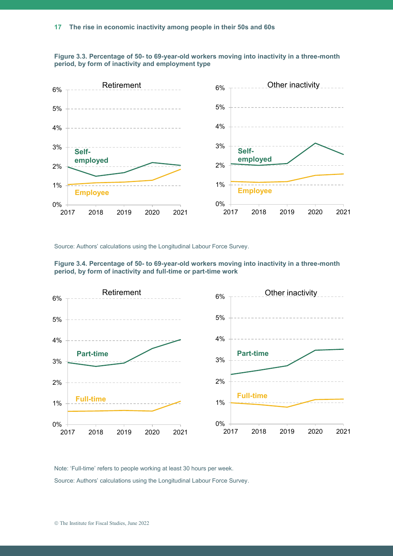



Source: Authors' calculations using the Longitudinal Labour Force Survey.





Note: 'Full-time' refers to people working at least 30 hours per week.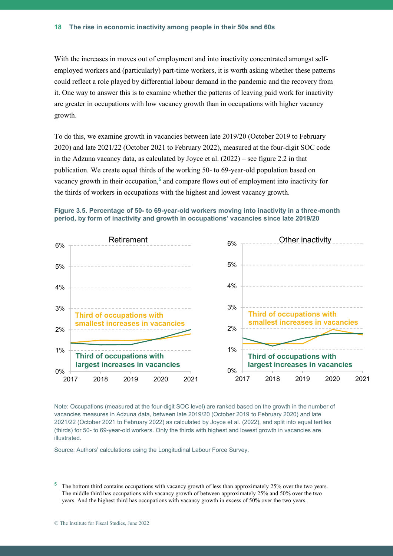With the increases in moves out of employment and into inactivity concentrated amongst selfemployed workers and (particularly) part-time workers, it is worth asking whether these patterns could reflect a role played by differential labour demand in the pandemic and the recovery from it. One way to answer this is to examine whether the patterns of leaving paid work for inactivity are greater in occupations with low vacancy growth than in occupations with higher vacancy growth.

To do this, we examine growth in vacancies between late 2019/20 (October 2019 to February 2020) and late 2021/22 (October 2021 to February 2022), measured at the four-digit SOC code in the Adzuna vacancy data, as calculated by Joyce et al. (2022) – see figure 2.2 in that publication. We create equal thirds of the working 50- to 69-year-old population based on vacancy growth in their occupation,**<sup>5</sup>** and compare flows out of employment into inactivity for the thirds of workers in occupations with the highest and lowest vacancy growth.





Note: Occupations (measured at the four-digit SOC level) are ranked based on the growth in the number of vacancies measures in Adzuna data, between late 2019/20 (October 2019 to February 2020) and late 2021/22 (October 2021 to February 2022) as calculated by Joyce et al. (2022), and split into equal tertiles (thirds) for 50- to 69-year-old workers. Only the thirds with highest and lowest growth in vacancies are illustrated.

<sup>&</sup>lt;sup>5</sup> The bottom third contains occupations with vacancy growth of less than approximately 25% over the two years. The middle third has occupations with vacancy growth of between approximately 25% and 50% over the two years. And the highest third has occupations with vacancy growth in excess of 50% over the two years.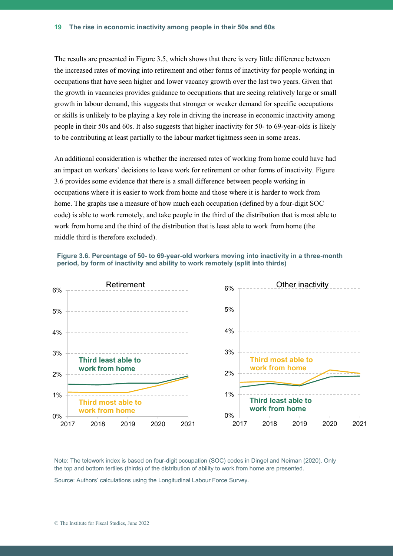The results are presented in Figure 3.5, which shows that there is very little difference between the increased rates of moving into retirement and other forms of inactivity for people working in occupations that have seen higher and lower vacancy growth over the last two years. Given that the growth in vacancies provides guidance to occupations that are seeing relatively large or small growth in labour demand, this suggests that stronger or weaker demand for specific occupations or skills is unlikely to be playing a key role in driving the increase in economic inactivity among people in their 50s and 60s. It also suggests that higher inactivity for 50- to 69-year-olds is likely to be contributing at least partially to the labour market tightness seen in some areas.

An additional consideration is whether the increased rates of working from home could have had an impact on workers' decisions to leave work for retirement or other forms of inactivity. Figure 3.6 provides some evidence that there is a small difference between people working in occupations where it is easier to work from home and those where it is harder to work from home. The graphs use a measure of how much each occupation (defined by a four-digit SOC code) is able to work remotely, and take people in the third of the distribution that is most able to work from home and the third of the distribution that is least able to work from home (the middle third is therefore excluded).





Note: The telework index is based on four-digit occupation (SOC) codes in Dingel and Neiman (2020). Only the top and bottom tertiles (thirds) of the distribution of ability to work from home are presented.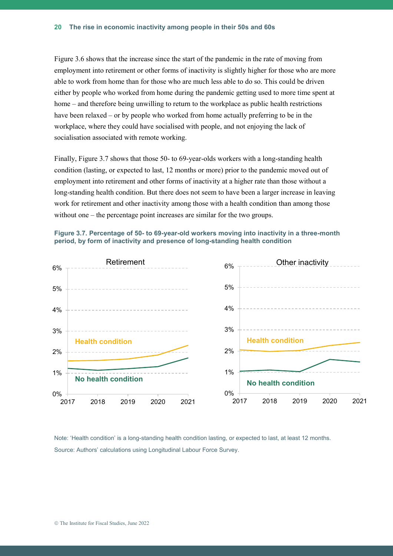Figure 3.6 shows that the increase since the start of the pandemic in the rate of moving from employment into retirement or other forms of inactivity is slightly higher for those who are more able to work from home than for those who are much less able to do so. This could be driven either by people who worked from home during the pandemic getting used to more time spent at home – and therefore being unwilling to return to the workplace as public health restrictions have been relaxed – or by people who worked from home actually preferring to be in the workplace, where they could have socialised with people, and not enjoying the lack of socialisation associated with remote working.

Finally, Figure 3.7 shows that those 50- to 69-year-olds workers with a long-standing health condition (lasting, or expected to last, 12 months or more) prior to the pandemic moved out of employment into retirement and other forms of inactivity at a higher rate than those without a long-standing health condition. But there does not seem to have been a larger increase in leaving work for retirement and other inactivity among those with a health condition than among those without one – the percentage point increases are similar for the two groups.





Note: 'Health condition' is a long-standing health condition lasting, or expected to last, at least 12 months. Source: Authors' calculations using Longitudinal Labour Force Survey.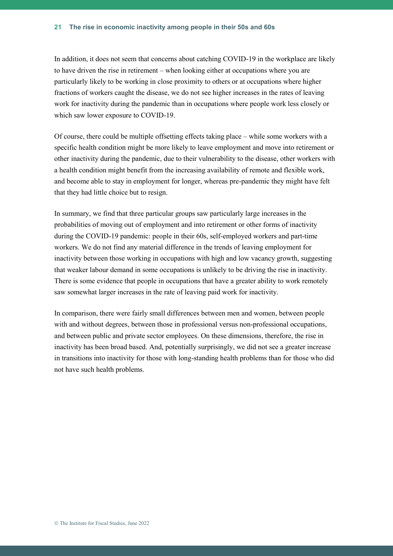In addition, it does not seem that concerns about catching COVID-19 in the workplace are likely to have driven the rise in retirement – when looking either at occupations where you are particularly likely to be working in close proximity to others or at occupations where higher fractions of workers caught the disease, we do not see higher increases in the rates of leaving work for inactivity during the pandemic than in occupations where people work less closely or which saw lower exposure to COVID-19.

Of course, there could be multiple offsetting effects taking place – while some workers with a specific health condition might be more likely to leave employment and move into retirement or other inactivity during the pandemic, due to their vulnerability to the disease, other workers with a health condition might benefit from the increasing availability of remote and flexible work, and become able to stay in employment for longer, whereas pre-pandemic they might have felt that they had little choice but to resign.

In summary, we find that three particular groups saw particularly large increases in the probabilities of moving out of employment and into retirement or other forms of inactivity during the COVID-19 pandemic: people in their 60s, self-employed workers and part-time workers. We do not find any material difference in the trends of leaving employment for inactivity between those working in occupations with high and low vacancy growth, suggesting that weaker labour demand in some occupations is unlikely to be driving the rise in inactivity. There is some evidence that people in occupations that have a greater ability to work remotely saw somewhat larger increases in the rate of leaving paid work for inactivity.

In comparison, there were fairly small differences between men and women, between people with and without degrees, between those in professional versus non-professional occupations, and between public and private sector employees. On these dimensions, therefore, the rise in inactivity has been broad based. And, potentially surprisingly, we did not see a greater increase in transitions into inactivity for those with long-standing health problems than for those who did not have such health problems.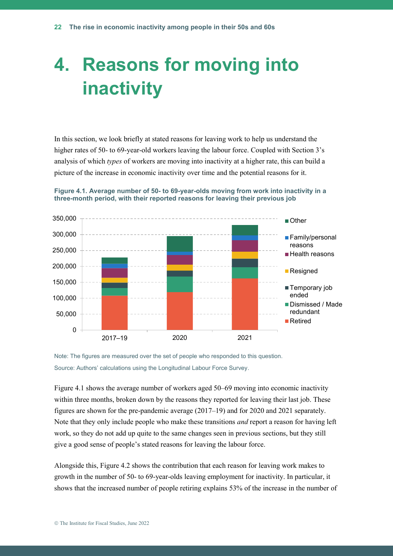## **4. Reasons for moving into inactivity**

In this section, we look briefly at stated reasons for leaving work to help us understand the higher rates of 50- to 69-year-old workers leaving the labour force. Coupled with Section 3's analysis of which *types* of workers are moving into inactivity at a higher rate, this can build a picture of the increase in economic inactivity over time and the potential reasons for it.





Note: The figures are measured over the set of people who responded to this question. Source: Authors' calculations using the Longitudinal Labour Force Survey.

Figure 4.1 shows the average number of workers aged 50–69 moving into economic inactivity within three months, broken down by the reasons they reported for leaving their last job. These figures are shown for the pre-pandemic average (2017–19) and for 2020 and 2021 separately. Note that they only include people who make these transitions *and* report a reason for having left work, so they do not add up quite to the same changes seen in previous sections, but they still give a good sense of people's stated reasons for leaving the labour force.

Alongside this, Figure 4.2 shows the contribution that each reason for leaving work makes to growth in the number of 50- to 69-year-olds leaving employment for inactivity. In particular, it shows that the increased number of people retiring explains 53% of the increase in the number of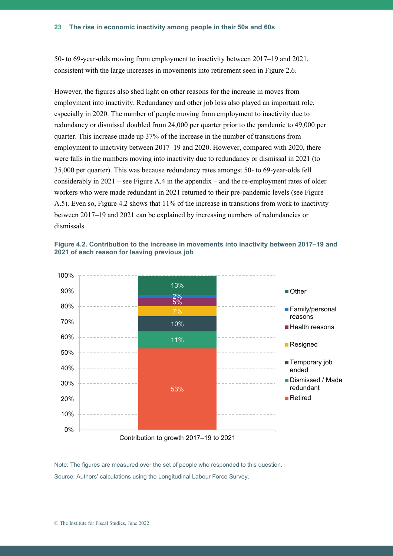50- to 69-year-olds moving from employment to inactivity between 2017–19 and 2021, consistent with the large increases in movements into retirement seen in Figure 2.6.

However, the figures also shed light on other reasons for the increase in moves from employment into inactivity. Redundancy and other job loss also played an important role, especially in 2020. The number of people moving from employment to inactivity due to redundancy or dismissal doubled from 24,000 per quarter prior to the pandemic to 49,000 per quarter. This increase made up 37% of the increase in the number of transitions from employment to inactivity between 2017–19 and 2020. However, compared with 2020, there were falls in the numbers moving into inactivity due to redundancy or dismissal in 2021 (to 35,000 per quarter). This was because redundancy rates amongst 50- to 69-year-olds fell considerably in  $2021$  – see Figure A.4 in the appendix – and the re-employment rates of older workers who were made redundant in 2021 returned to their pre-pandemic levels (see Figure A.5). Even so, Figure 4.2 shows that 11% of the increase in transitions from work to inactivity between 2017–19 and 2021 can be explained by increasing numbers of redundancies or dismissals.





Note: The figures are measured over the set of people who responded to this question. Source: Authors' calculations using the Longitudinal Labour Force Survey.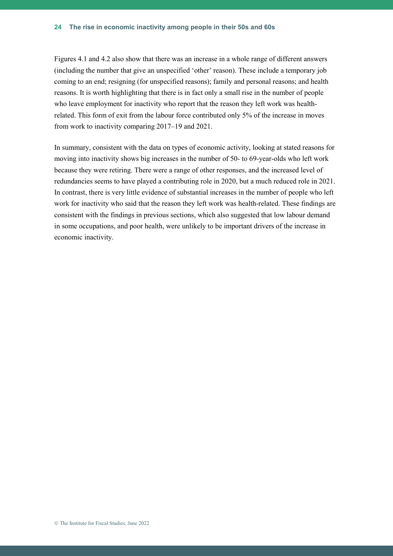Figures 4.1 and 4.2 also show that there was an increase in a whole range of different answers (including the number that give an unspecified 'other' reason). These include a temporary job coming to an end; resigning (for unspecified reasons); family and personal reasons; and health reasons. It is worth highlighting that there is in fact only a small rise in the number of people who leave employment for inactivity who report that the reason they left work was healthrelated. This form of exit from the labour force contributed only 5% of the increase in moves from work to inactivity comparing 2017–19 and 2021.

In summary, consistent with the data on types of economic activity, looking at stated reasons for moving into inactivity shows big increases in the number of 50- to 69-year-olds who left work because they were retiring. There were a range of other responses, and the increased level of redundancies seems to have played a contributing role in 2020, but a much reduced role in 2021. In contrast, there is very little evidence of substantial increases in the number of people who left work for inactivity who said that the reason they left work was health-related. These findings are consistent with the findings in previous sections, which also suggested that low labour demand in some occupations, and poor health, were unlikely to be important drivers of the increase in economic inactivity.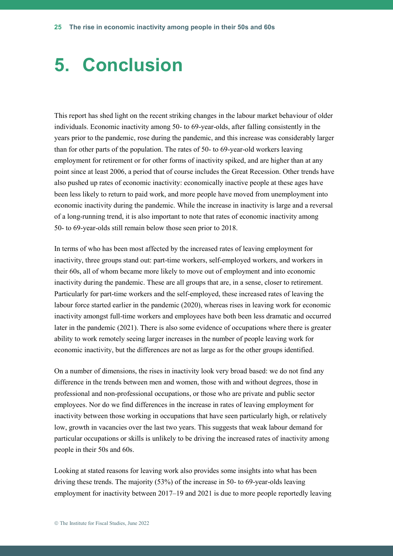### **5. Conclusion**

This report has shed light on the recent striking changes in the labour market behaviour of older individuals. Economic inactivity among 50- to 69-year-olds, after falling consistently in the years prior to the pandemic, rose during the pandemic, and this increase was considerably larger than for other parts of the population. The rates of 50- to 69-year-old workers leaving employment for retirement or for other forms of inactivity spiked, and are higher than at any point since at least 2006, a period that of course includes the Great Recession. Other trends have also pushed up rates of economic inactivity: economically inactive people at these ages have been less likely to return to paid work, and more people have moved from unemployment into economic inactivity during the pandemic. While the increase in inactivity is large and a reversal of a long-running trend, it is also important to note that rates of economic inactivity among 50- to 69-year-olds still remain below those seen prior to 2018.

In terms of who has been most affected by the increased rates of leaving employment for inactivity, three groups stand out: part-time workers, self-employed workers, and workers in their 60s, all of whom became more likely to move out of employment and into economic inactivity during the pandemic. These are all groups that are, in a sense, closer to retirement. Particularly for part-time workers and the self-employed, these increased rates of leaving the labour force started earlier in the pandemic (2020), whereas rises in leaving work for economic inactivity amongst full-time workers and employees have both been less dramatic and occurred later in the pandemic (2021). There is also some evidence of occupations where there is greater ability to work remotely seeing larger increases in the number of people leaving work for economic inactivity, but the differences are not as large as for the other groups identified.

On a number of dimensions, the rises in inactivity look very broad based: we do not find any difference in the trends between men and women, those with and without degrees, those in professional and non-professional occupations, or those who are private and public sector employees. Nor do we find differences in the increase in rates of leaving employment for inactivity between those working in occupations that have seen particularly high, or relatively low, growth in vacancies over the last two years. This suggests that weak labour demand for particular occupations or skills is unlikely to be driving the increased rates of inactivity among people in their 50s and 60s.

Looking at stated reasons for leaving work also provides some insights into what has been driving these trends. The majority (53%) of the increase in 50- to 69-year-olds leaving employment for inactivity between 2017–19 and 2021 is due to more people reportedly leaving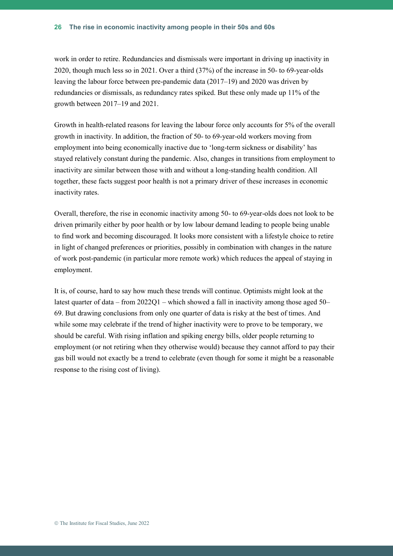work in order to retire. Redundancies and dismissals were important in driving up inactivity in 2020, though much less so in 2021. Over a third (37%) of the increase in 50- to 69-year-olds leaving the labour force between pre-pandemic data (2017–19) and 2020 was driven by redundancies or dismissals, as redundancy rates spiked. But these only made up 11% of the growth between 2017–19 and 2021.

Growth in health-related reasons for leaving the labour force only accounts for 5% of the overall growth in inactivity. In addition, the fraction of 50- to 69-year-old workers moving from employment into being economically inactive due to 'long-term sickness or disability' has stayed relatively constant during the pandemic. Also, changes in transitions from employment to inactivity are similar between those with and without a long-standing health condition. All together, these facts suggest poor health is not a primary driver of these increases in economic inactivity rates.

Overall, therefore, the rise in economic inactivity among 50- to 69-year-olds does not look to be driven primarily either by poor health or by low labour demand leading to people being unable to find work and becoming discouraged. It looks more consistent with a lifestyle choice to retire in light of changed preferences or priorities, possibly in combination with changes in the nature of work post-pandemic (in particular more remote work) which reduces the appeal of staying in employment.

It is, of course, hard to say how much these trends will continue. Optimists might look at the latest quarter of data – from  $2022Q1$  – which showed a fall in inactivity among those aged 50– 69. But drawing conclusions from only one quarter of data is risky at the best of times. And while some may celebrate if the trend of higher inactivity were to prove to be temporary, we should be careful. With rising inflation and spiking energy bills, older people returning to employment (or not retiring when they otherwise would) because they cannot afford to pay their gas bill would not exactly be a trend to celebrate (even though for some it might be a reasonable response to the rising cost of living).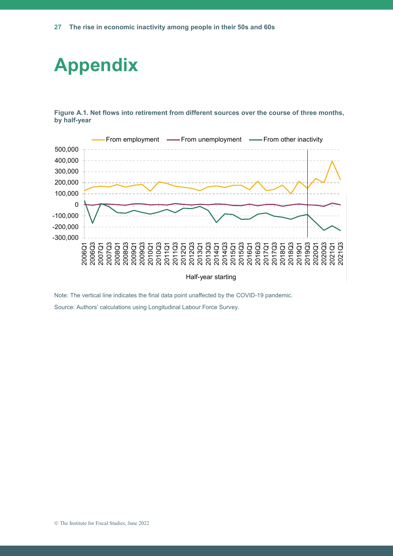

**Figure A.1. Net flows into retirement from different sources over the course of three months, by half-year**



Note: The vertical line indicates the final data point unaffected by the COVID-19 pandemic. Source: Authors' calculations using Longitudinal Labour Force Survey.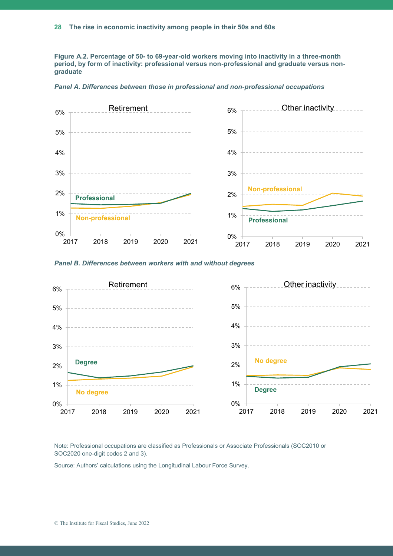**Figure A.2. Percentage of 50- to 69-year-old workers moving into inactivity in a three-month period, by form of inactivity: professional versus non-professional and graduate versus nongraduate**



*Panel A. Differences between those in professional and non-professional occupations*





Note: Professional occupations are classified as Professionals or Associate Professionals (SOC2010 or SOC2020 one-digit codes 2 and 3).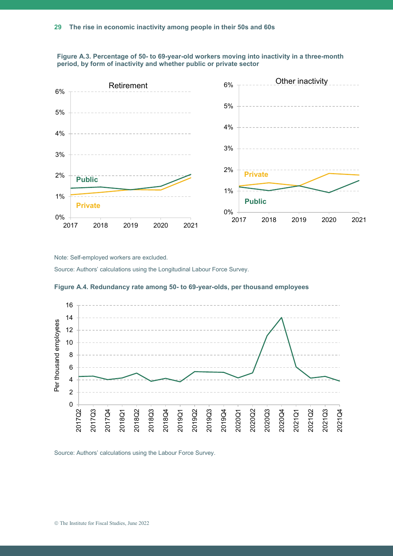



Note: Self-employed workers are excluded.

Source: Authors' calculations using the Longitudinal Labour Force Survey.



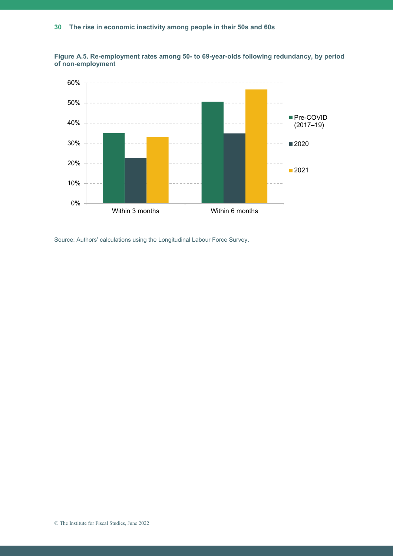

**Figure A.5. Re-employment rates among 50- to 69-year-olds following redundancy, by period of non-employment**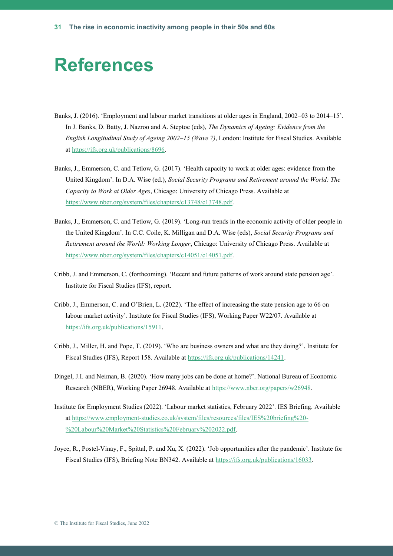#### **References**

- Banks, J. (2016). 'Employment and labour market transitions at older ages in England, 2002–03 to 2014–15'. In J. Banks, D. Batty, J. Nazroo and A. Steptoe (eds), *The Dynamics of Ageing: Evidence from the English Longitudinal Study of Ageing 2002–15 (Wave 7)*, London: Institute for Fiscal Studies. Available at [https://ifs.org.uk/publications/8696.](https://ifs.org.uk/publications/8696)
- Banks, J., Emmerson, C. and Tetlow, G. (2017). 'Health capacity to work at older ages: evidence from the United Kingdom'. In D.A. Wise (ed.), *Social Security Programs and Retirement around the World: The Capacity to Work at Older Ages*, Chicago: University of Chicago Press. Available at [https://www.nber.org/system/files/chapters/c13748/c13748.pdf.](https://www.nber.org/system/files/chapters/c13748/c13748.pdf)
- Banks, J., Emmerson, C. and Tetlow, G. (2019). 'Long-run trends in the economic activity of older people in the United Kingdom'. In C.C. Coile, K. Milligan and D.A. Wise (eds), *Social Security Programs and Retirement around the World: Working Longer*, Chicago: University of Chicago Press. Available at [https://www.nber.org/system/files/chapters/c14051/c14051.pdf.](https://www.nber.org/system/files/chapters/c14051/c14051.pdf)
- Cribb, J. and Emmerson, C. (forthcoming). 'Recent and future patterns of work around state pension age'. Institute for Fiscal Studies (IFS), report.
- Cribb, J., Emmerson, C. and O'Brien, L. (2022). 'The effect of increasing the state pension age to 66 on labour market activity'. Institute for Fiscal Studies (IFS), Working Paper W22/07. Available at [https://ifs.org.uk/publications/15911.](https://ifs.org.uk/publications/15911)
- Cribb, J., Miller, H. and Pope, T. (2019). 'Who are business owners and what are they doing?'. Institute for Fiscal Studies (IFS), Report 158. Available at [https://ifs.org.uk/publications/14241.](https://ifs.org.uk/publications/14241)
- Dingel, J.I. and Neiman, B. (2020). 'How many jobs can be done at home?'. National Bureau of Economic Research (NBER), Working Paper 26948. Available at [https://www.nber.org/papers/w26948.](https://www.nber.org/papers/w26948)
- Institute for Employment Studies (2022). 'Labour market statistics, February 2022'. IES Briefing. Available at [https://www.employment-studies.co.uk/system/files/resources/files/IES%20briefing%20-](https://www.employment-studies.co.uk/system/files/resources/files/IES%20briefing%20-%20Labour%20Market%20Statistics%20February%202022.pdf) [%20Labour%20Market%20Statistics%20February%202022.pdf.](https://www.employment-studies.co.uk/system/files/resources/files/IES%20briefing%20-%20Labour%20Market%20Statistics%20February%202022.pdf)
- Joyce, R., Postel-Vinay, F., Spittal, P. and Xu, X. (2022). 'Job opportunities after the pandemic'. Institute for Fiscal Studies (IFS), Briefing Note BN342. Available at [https://ifs.org.uk/publications/16033.](https://ifs.org.uk/publications/16033)